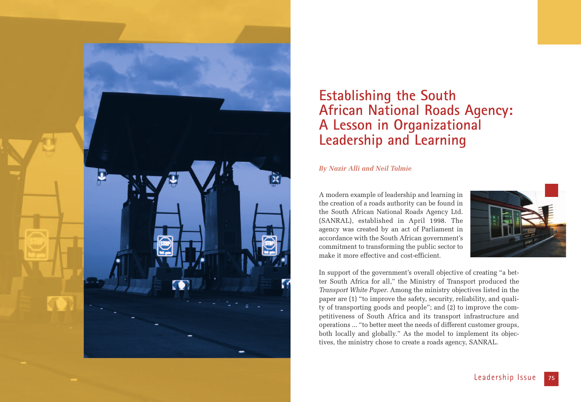

# **Establishing the South African National Roads Agency: A Lesson in Organizational Leadership and Learning**

## *By Nazir Alli and Neil Tolmie*

A modern example of leadership and learning in the creation of a roads authority can be found in the South African National Roads Agency Ltd. (SANRAL), established in April 1998. The agency was created by an act of Parliament in accordance with the South African government's commitment to transforming the public sector to make it more effective and cost-efficient.



In support of the government's overall objective of creating "a better South Africa for all," the Ministry of Transport produced the *Transport White Paper*. Among the ministry objectives listed in the paper are (1) "to improve the safety, security, reliability, and quality of transporting goods and people"; and (2) to improve the competitiveness of South Africa and its transport infrastructure and operations ... "to better meet the needs of different customer groups, both locally and globally." As the model to implement its objectives, the ministry chose to create a roads agency, SANRAL.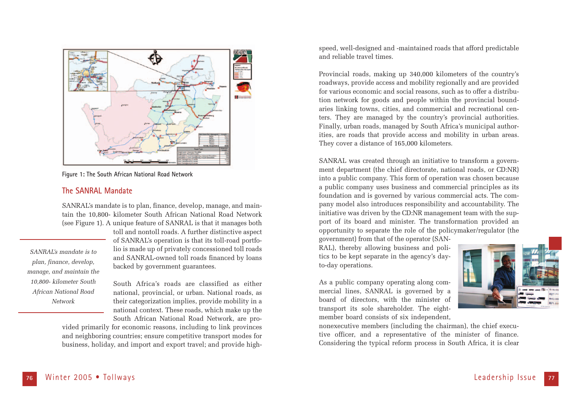

**Figure 1: The South African National Road Network**

## **The SANRAL Mandate**

SANRAL's mandate is to plan, finance, develop, manage, and maintain the 10,800- kilometer South African National Road Network (see Figure 1). A unique feature of SANRAL is that it manages both

*SANRAL's mandate is to plan, finance, develop, manage, and maintain the 10,800- kilometer South African National Road Network* 

toll and nontoll roads. A further distinctive aspect of SANRAL's operation is that its toll-road portfolio is made up of privately concessioned toll roads and SANRAL-owned toll roads financed by loans backed by government guarantees.

South Africa's roads are classified as either national, provincial, or urban. National roads, as their categorization implies, provide mobility in a national context. These roads, which make up the South African National Road Network, are pro-

vided primarily for economic reasons, including to link provinces and neighboring countries; ensure competitive transport modes for business, holiday, and import and export travel; and provide highspeed, well-designed and -maintained roads that afford predictable and reliable travel times.

Provincial roads, making up 340,000 kilometers of the country's roadways, provide access and mobility regionally and are provided for various economic and social reasons, such as to offer a distribution network for goods and people within the provincial boundaries linking towns, cities, and commercial and recreational centers. They are managed by the country's provincial authorities. Finally, urban roads, managed by South Africa's municipal authorities, are roads that provide access and mobility in urban areas. They cover a distance of 165,000 kilometers.

SANRAL was created through an initiative to transform a government department (the chief directorate, national roads, or CD:NR) into a public company. This form of operation was chosen because a public company uses business and commercial principles as its foundation and is governed by various commercial acts. The company model also introduces responsibility and accountability. The initiative was driven by the CD:NR management team with the support of its board and minister. The transformation provided an opportunity to separate the role of the policymaker/regulator (the

government) from that of the operator (SAN-RAL), thereby allowing business and politics to be kept separate in the agency's dayto-day operations.

As a public company operating along commercial lines, SANRAL is governed by a board of directors, with the minister of transport its sole shareholder. The eightmember board consists of six independent,



nonexecutive members (including the chairman), the chief executive officer, and a representative of the minister of finance. Considering the typical reform process in South Africa, it is clear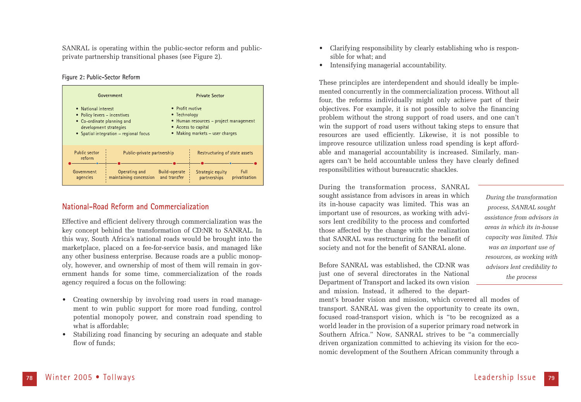SANRAL is operating within the public-sector reform and publicprivate partnership transitional phases (see Figure 2).

#### **Figure 2: Public-Sector Reform**



### **National-Road Reform and Commercialization**

Effective and efficient delivery through commercialization was the key concept behind the transformation of CD:NR to SANRAL. In this way, South Africa's national roads would be brought into the marketplace, placed on a fee-for-service basis, and managed like any other business enterprise. Because roads are a public monopoly, however, and ownership of most of them will remain in government hands for some time, commercialization of the roads agency required a focus on the following:

- Creating ownership by involving road users in road management to win public support for more road funding, control potential monopoly power, and constrain road spending to what is affordable;
- Stabilizing road financing by securing an adequate and stable flow of funds;
- Clarifying responsibility by clearly establishing who is responsible for what; and
- Intensifying managerial accountability.

These principles are interdependent and should ideally be implemented concurrently in the commercialization process. Without all four, the reforms individually might only achieve part of their objectives. For example, it is not possible to solve the financing problem without the strong support of road users, and one can't win the support of road users without taking steps to ensure that resources are used efficiently. Likewise, it is not possible to improve resource utilization unless road spending is kept affordable and managerial accountability is increased. Similarly, managers can't be held accountable unless they have clearly defined responsibilities without bureaucratic shackles.

During the transformation process, SANRAL sought assistance from advisors in areas in which its in-house capacity was limited. This was an important use of resources, as working with advisors lent credibility to the process and comforted those affected by the change with the realization that SANRAL was restructuring for the benefit of society and not for the benefit of SANRAL alone.

Before SANRAL was established, the CD:NR was just one of several directorates in the National Department of Transport and lacked its own vision and mission. Instead, it adhered to the depart-

ment's broader vision and mission, which covered all modes of transport. SANRAL was given the opportunity to create its own, focused road-transport vision, which is "to be recognized as a world leader in the provision of a superior primary road network in Southern Africa." Now, SANRAL strives to be "a commercially driven organization committed to achieving its vision for the economic development of the Southern African community through a

*During the transformation process, SANRAL sought assistance from advisors in areas in which its in-house capacity was limited. This was an important use of resources, as working with advisors lent credibility to the process*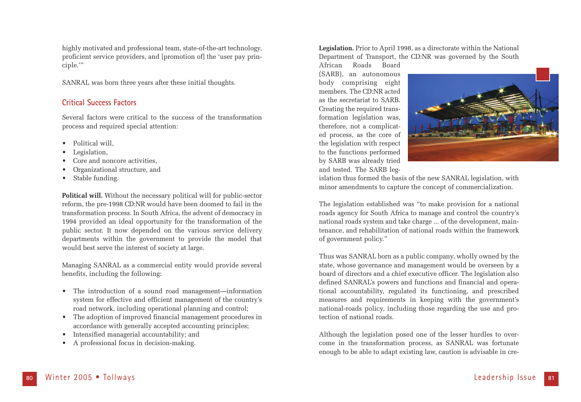highly motivated and professional team, state-of-the-art technology, proficient service providers, and [promotion of] the 'user pay principle.'"

SANRAL was born three years after these initial thoughts.

# **Critical Success Factors**

Several factors were critical to the success of the transformation process and required special attention:

- Political will.
- Legislation,
- Core and noncore activities,
- Organizational structure, and
- Stable funding.

**Political will.** Without the necessary political will for public-sector reform, the pre-1998 CD:NR would have been doomed to fail in the transformation process. In South Africa, the advent of democracy in 1994 provided an ideal opportunity for the transformation of the public sector. It now depended on the various service delivery departments within the government to provide the model that would best serve the interest of society at large.

Managing SANRAL as a commercial entity would provide several benefits, including the following:

- The introduction of a sound road management—information system for effective and efficient management of the country's road network, including operational planning and control;
- The adoption of improved financial management procedures in accordance with generally accepted accounting principles;
- Intensified managerial accountability; and
- A professional focus in decision-making.

**Legislation.** Prior to April 1998, as a directorate within the National Department of Transport, the CD:NR was governed by the South

African Roads Board (SARB), an autonomous body comprising eight members. The CD:NR acted as the secretariat to SARB. Creating the required transformation legislation was, therefore, not a complicated process, as the core of the legislation with respect to the functions performed by SARB was already tried and tested. The SARB leg-



islation thus formed the basis of the new SANRAL legislation, with minor amendments to capture the concept of commercialization.

The legislation established was "to make provision for a national roads agency for South Africa to manage and control the country's national roads system and take charge ... of the development, maintenance, and rehabilitation of national roads within the framework of government policy."

Thus was SANRAL born as a public company, wholly owned by the state, whose governance and management would be overseen by a board of directors and a chief executive officer. The legislation also defined SANRAL's powers and functions and financial and operational accountability, regulated its functioning, and prescribed measures and requirements in keeping with the government's national-roads policy, including those regarding the use and protection of national roads.

Although the legislation posed one of the lesser hurdles to overcome in the transformation process, as SANRAL was fortunate enough to be able to adapt existing law, caution is advisable in cre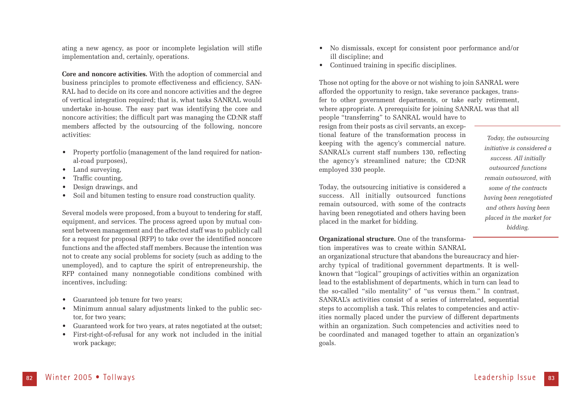ating a new agency, as poor or incomplete legislation will stifle implementation and, certainly, operations.

**Core and noncore activities.** With the adoption of commercial and business principles to promote effectiveness and efficiency, SAN-RAL had to decide on its core and noncore activities and the degree of vertical integration required; that is, what tasks SANRAL would undertake in-house. The easy part was identifying the core and noncore activities; the difficult part was managing the CD:NR staff members affected by the outsourcing of the following, noncore activities:

- Property portfolio (management of the land required for national-road purposes),
- Land surveying,
- Traffic counting,
- Design drawings, and
- Soil and bitumen testing to ensure road construction quality.

Several models were proposed, from a buyout to tendering for staff, equipment, and services. The process agreed upon by mutual consent between management and the affected staff was to publicly call for a request for proposal (RFP) to take over the identified noncore functions and the affected staff members. Because the intention was not to create any social problems for society (such as adding to the unemployed), and to capture the spirit of entrepreneurship, the RFP contained many nonnegotiable conditions combined with incentives, including:

- Guaranteed job tenure for two years;
- Minimum annual salary adjustments linked to the public sector, for two years;
- Guaranteed work for two years, at rates negotiated at the outset;
- First-right-of-refusal for any work not included in the initial work package;
- No dismissals, except for consistent poor performance and/or ill discipline; and
- Continued training in specific disciplines.

Those not opting for the above or not wishing to join SANRAL were afforded the opportunity to resign, take severance packages, transfer to other government departments, or take early retirement, where appropriate. A prerequisite for joining SANRAL was that all people "transferring" to SANRAL would have to resign from their posts as civil servants, an exceptional feature of the transformation process in keeping with the agency's commercial nature. SANRAL's current staff numbers 130, reflecting the agency's streamlined nature; the CD:NR employed 330 people.

Today, the outsourcing initiative is considered a success. All initially outsourced functions remain outsourced, with some of the contracts having been renegotiated and others having been placed in the market for bidding.

*Today, the outsourcing initiative is considered a success. All initially outsourced functions remain outsourced, with some of the contracts having been renegotiated and others having been placed in the market for bidding.*

**Organizational structure.** One of the transformation imperatives was to create within SANRAL

an organizational structure that abandons the bureaucracy and hierarchy typical of traditional government departments. It is wellknown that "logical" groupings of activities within an organization lead to the establishment of departments, which in turn can lead to the so-called "silo mentality" of "us versus them." In contrast, SANRAL's activities consist of a series of interrelated, sequential steps to accomplish a task. This relates to competencies and activities normally placed under the purview of different departments within an organization. Such competencies and activities need to be coordinated and managed together to attain an organization's goals.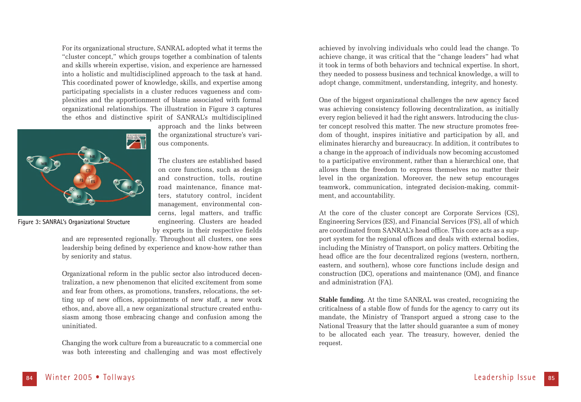For its organizational structure, SANRAL adopted what it terms the "cluster concept," which groups together a combination of talents and skills wherein expertise, vision, and experience are harnessed into a holistic and multidisciplined approach to the task at hand. This coordinated power of knowledge, skills, and expertise among participating specialists in a cluster reduces vagueness and complexities and the apportionment of blame associated with formal organizational relationships. The illustration in Figure 3 captures the ethos and distinctive spirit of SANRAL's multidisciplined



approach and the links between the organizational structure's various components.

The clusters are established based on core functions, such as design and construction, tolls, routine road maintenance, finance matters, statutory control, incident management, environmental concerns, legal matters, and traffic engineering. Clusters are headed by experts in their respective fields

**Figure 3: SANRAL's Organizational Structure**

and are represented regionally. Throughout all clusters, one sees leadership being defined by experience and know-how rather than by seniority and status.

Organizational reform in the public sector also introduced decentralization, a new phenomenon that elicited excitement from some and fear from others, as promotions, transfers, relocations, the setting up of new offices, appointments of new staff, a new work ethos, and, above all, a new organizational structure created enthusiasm among those embracing change and confusion among the uninitiated.

Changing the work culture from a bureaucratic to a commercial one was both interesting and challenging and was most effectively

achieved by involving individuals who could lead the change. To achieve change, it was critical that the "change leaders" had what it took in terms of both behaviors and technical expertise. In short, they needed to possess business and technical knowledge, a will to adopt change, commitment, understanding, integrity, and honesty.

One of the biggest organizational challenges the new agency faced was achieving consistency following decentralization, as initially every region believed it had the right answers. Introducing the cluster concept resolved this matter. The new structure promotes freedom of thought, inspires initiative and participation by all, and eliminates hierarchy and bureaucracy. In addition, it contributes to a change in the approach of individuals now becoming accustomed to a participative environment, rather than a hierarchical one, that allows them the freedom to express themselves no matter their level in the organization. Moreover, the new setup encourages teamwork, communication, integrated decision-making, commitment, and accountability.

At the core of the cluster concept are Corporate Services (CS), Engineering Services (ES), and Financial Services (FS), all of which are coordinated from SANRAL's head office. This core acts as a support system for the regional offices and deals with external bodies, including the Ministry of Transport, on policy matters. Orbiting the head office are the four decentralized regions (western, northern, eastern, and southern), whose core functions include design and construction (DC), operations and maintenance (OM), and finance and administration (FA).

**Stable funding.** At the time SANRAL was created, recognizing the criticalness of a stable flow of funds for the agency to carry out its mandate, the Ministry of Transport argued a strong case to the National Treasury that the latter should guarantee a sum of money to be allocated each year. The treasury, however, denied the request.